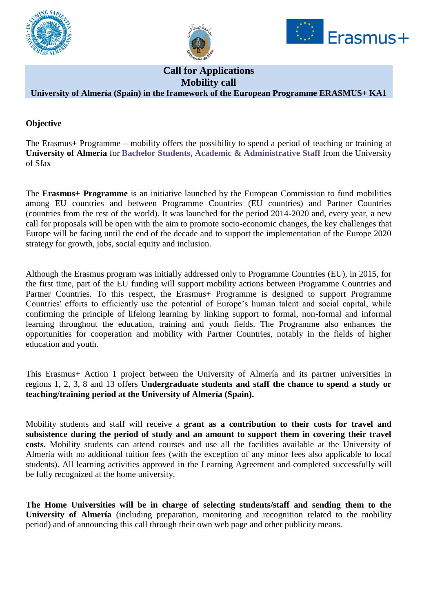





# **Call for Applications Mobility call**

# **University of Almería (Spain) in the framework of the European Programme ERASMUS+ KA1**

### **Objective**

The Erasmus+ Programme – mobility offers the possibility to spend a period of teaching or training at **University of Almería** for **Bachelor Students, Academic & Administrative Staff** from the University of Sfax

The **Erasmus+ Programme** is an initiative launched by the European Commission to fund mobilities among EU countries and between Programme Countries (EU countries) and Partner Countries (countries from the rest of the world). It was launched for the period 2014-2020 and, every year, a new call for proposals will be open with the aim to promote socio-economic changes, the key challenges that Europe will be facing until the end of the decade and to support the implementation of the Europe 2020 strategy for growth, jobs, social equity and inclusion.

Although the Erasmus program was initially addressed only to Programme Countries (EU), in 2015, for the first time, part of the EU funding will support mobility actions between Programme Countries and Partner Countries. To this respect, the Erasmus+ Programme is designed to support Programme Countries' efforts to efficiently use the potential of Europe's human talent and social capital, while confirming the principle of lifelong learning by linking support to formal, non-formal and informal learning throughout the education, training and youth fields. The Programme also enhances the opportunities for cooperation and mobility with Partner Countries, notably in the fields of higher education and youth.

This Erasmus+ Action 1 project between the University of Almería and its partner universities in regions 1, 2, 3, 8 and 13 offers **Undergraduate students and staff the chance to spend a study or teaching/training period at the University of Almería (Spain).** 

Mobility students and staff will receive a **grant as a contribution to their costs for travel and subsistence during the period of study and an amount to support them in covering their travel costs.** Mobility students can attend courses and use all the facilities available at the University of Almería with no additional tuition fees (with the exception of any minor fees also applicable to local students). All learning activities approved in the Learning Agreement and completed successfully will be fully recognized at the home university.

**The Home Universities will be in charge of selecting students/staff and sending them to the University of Almería** (including preparation, monitoring and recognition related to the mobility period) and of announcing this call through their own web page and other publicity means.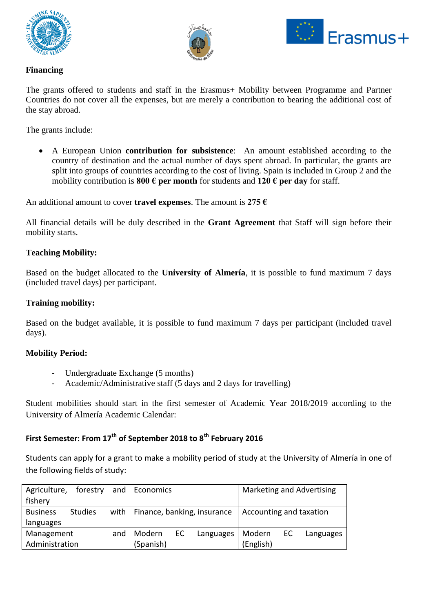





## **Financing**

The grants offered to students and staff in the Erasmus+ Mobility between Programme and Partner Countries do not cover all the expenses, but are merely a contribution to bearing the additional cost of the stay abroad.

The grants include:

 A European Union **contribution for subsistence**: An amount established according to the country of destination and the actual number of days spent abroad. In particular, the grants are split into groups of countries according to the cost of living. Spain is included in Group 2 and the mobility contribution is **800**  $\epsilon$  **per month** for students and **120**  $\epsilon$  **per day** for staff.

An additional amount to cover **travel expenses**. The amount is **275 €**

All financial details will be duly described in the **Grant Agreement** that Staff will sign before their mobility starts.

#### **Teaching Mobility:**

Based on the budget allocated to the **University of Almería**, it is possible to fund maximum 7 days (included travel days) per participant.

#### **Training mobility:**

Based on the budget available, it is possible to fund maximum 7 days per participant (included travel days).

#### **Mobility Period:**

- Undergraduate Exchange (5 months)
- Academic/Administrative staff (5 days and 2 days for travelling)

Student mobilities should start in the first semester of Academic Year 2018/2019 according to the University of Almería Academic Calendar:

# **First Semester: From 17th of September 2018 to 8th February 2016**

Students can apply for a grant to make a mobility period of study at the University of Almería in one of the following fields of study:

| Agriculture,      | forestry       |        | and   Economics                    |           |        | Marketing and Advertising |           |  |
|-------------------|----------------|--------|------------------------------------|-----------|--------|---------------------------|-----------|--|
| fishery           |                |        |                                    |           |        |                           |           |  |
| <b>Business</b>   | <b>Studies</b> |        | with   Finance, banking, insurance |           |        | Accounting and taxation   |           |  |
| languages         |                |        |                                    |           |        |                           |           |  |
| Management<br>and |                | Modern | EC.                                | Languages | Modern | EC                        | Languages |  |
| Administration    |                |        | (Spanish)                          |           |        | (English)                 |           |  |